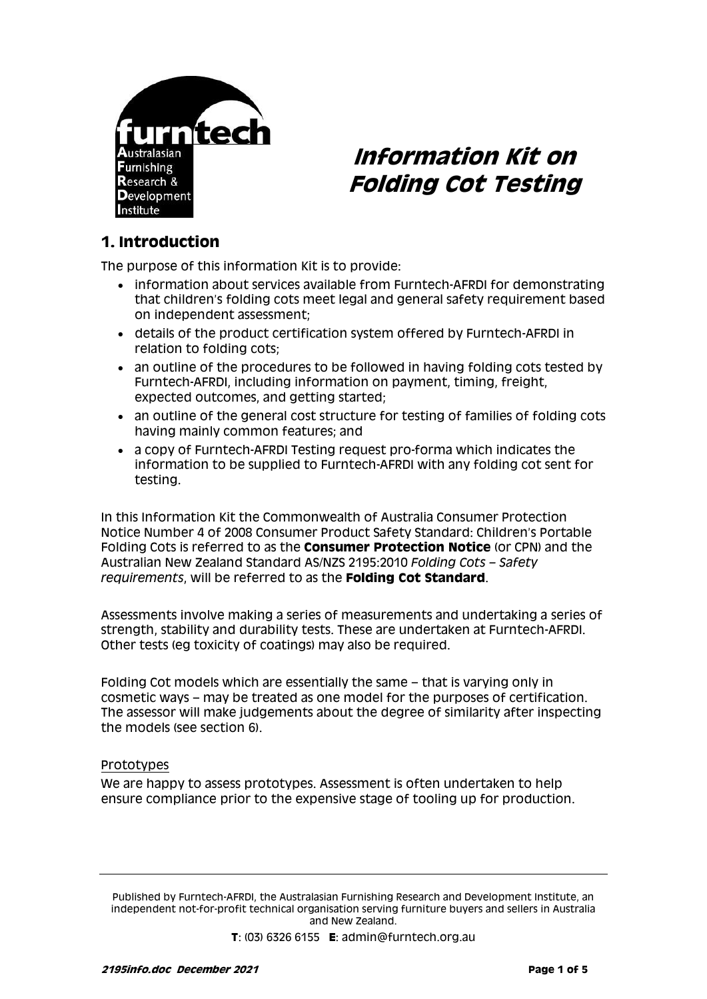

# **Information Kit on Folding Cot Testing**

#### **1. Introduction**

The purpose of this information Kit is to provide:

- information about services available from Furntech-AFRDI for demonstrating that children's folding cots meet legal and general safety requirement based on independent assessment;
- details of the product certification system offered by Furntech-AFRDI in relation to folding cots;
- an outline of the procedures to be followed in having folding cots tested by Furntech-AFRDI, including information on payment, timing, freight, expected outcomes, and getting started;
- an outline of the general cost structure for testing of families of folding cots having mainly common features; and
- a copy of Furntech-AFRDI Testing request pro-forma which indicates the information to be supplied to Furntech-AFRDI with any folding cot sent for testing.

In this Information Kit the Commonwealth of Australia Consumer Protection Notice Number 4 of 2008 Consumer Product Safety Standard: Children's Portable Folding Cots is referred to as the **Consumer Protection Notice** (or CPN) and the Australian New Zealand Standard AS/NZS 2195:2010 *Folding Cots – Safety requirements*, will be referred to as the **Folding Cot Standard**.

Assessments involve making a series of measurements and undertaking a series of strength, stability and durability tests. These are undertaken at Furntech-AFRDI. Other tests (eg toxicity of coatings) may also be required.

Folding Cot models which are essentially the same – that is varying only in cosmetic ways – may be treated as one model for the purposes of certification. The assessor will make judgements about the degree of similarity after inspecting the models (see section 6).

#### Prototypes

We are happy to assess prototypes. Assessment is often undertaken to help ensure compliance prior to the expensive stage of tooling up for production.

Published by Furntech-AFRDI, the Australasian Furnishing Research and Development Institute, an independent not-for-profit technical organisation serving furniture buyers and sellers in Australia and New Zealand.

**T**: (03) 6326 6155 **E**: admin@furntech.org.au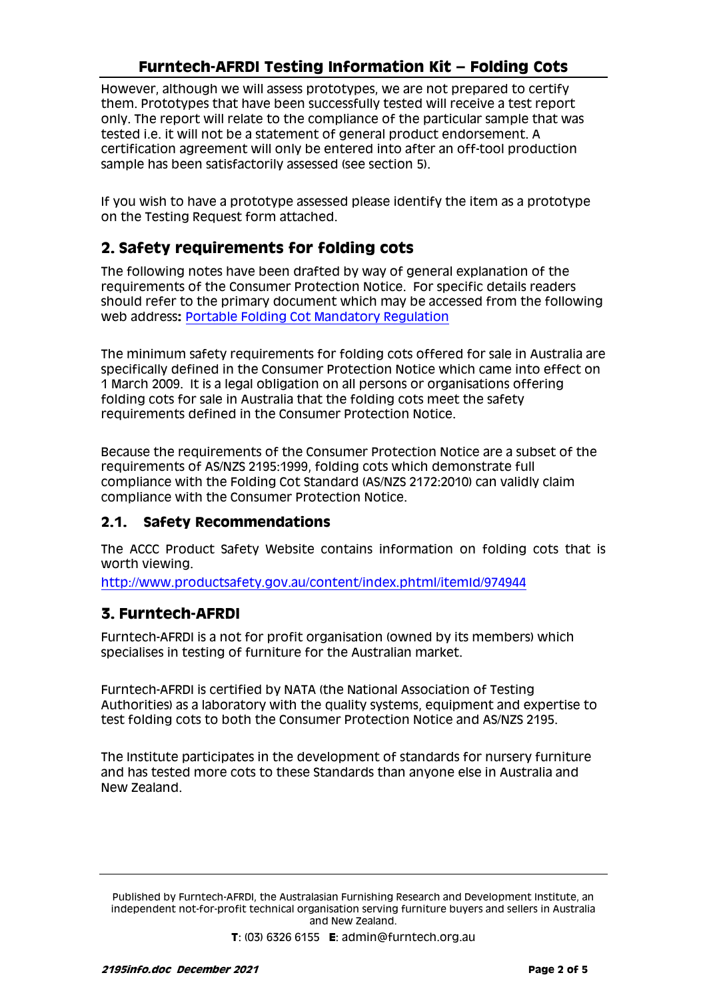### **Furntech-AFRDI Testing Information Kit – Folding Cots**

However, although we will assess prototypes, we are not prepared to certify them. Prototypes that have been successfully tested will receive a test report only. The report will relate to the compliance of the particular sample that was tested i.e. it will not be a statement of general product endorsement. A certification agreement will only be entered into after an off-tool production sample has been satisfactorily assessed (see section 5).

If you wish to have a prototype assessed please identify the item as a prototype on the Testing Request form attached.

### **2. Safety requirements for folding cots**

The following notes have been drafted by way of general explanation of the requirements of the Consumer Protection Notice. For specific details readers should refer to the primary document which may be accessed from the following web address**:** [Portable Folding Cot Mandatory Regulation](http://www.comlaw.gov.au/Details/F2008L00550)

The minimum safety requirements for folding cots offered for sale in Australia are specifically defined in the Consumer Protection Notice which came into effect on 1 March 2009. It is a legal obligation on all persons or organisations offering folding cots for sale in Australia that the folding cots meet the safety requirements defined in the Consumer Protection Notice.

Because the requirements of the Consumer Protection Notice are a subset of the requirements of AS/NZS 2195:1999, folding cots which demonstrate full compliance with the Folding Cot Standard (AS/NZS 2172:2010) can validly claim compliance with the Consumer Protection Notice.

#### **2.1. Safety Recommendations**

The ACCC Product Safety Website contains information on folding cots that is worth viewing.

<http://www.productsafety.gov.au/content/index.phtml/itemId/974944>

### **3. Furntech-AFRDI**

Furntech-AFRDI is a not for profit organisation (owned by its members) which specialises in testing of furniture for the Australian market.

Furntech-AFRDI is certified by NATA (the National Association of Testing Authorities) as a laboratory with the quality systems, equipment and expertise to test folding cots to both the Consumer Protection Notice and AS/NZS 2195.

The Institute participates in the development of standards for nursery furniture and has tested more cots to these Standards than anyone else in Australia and New Zealand.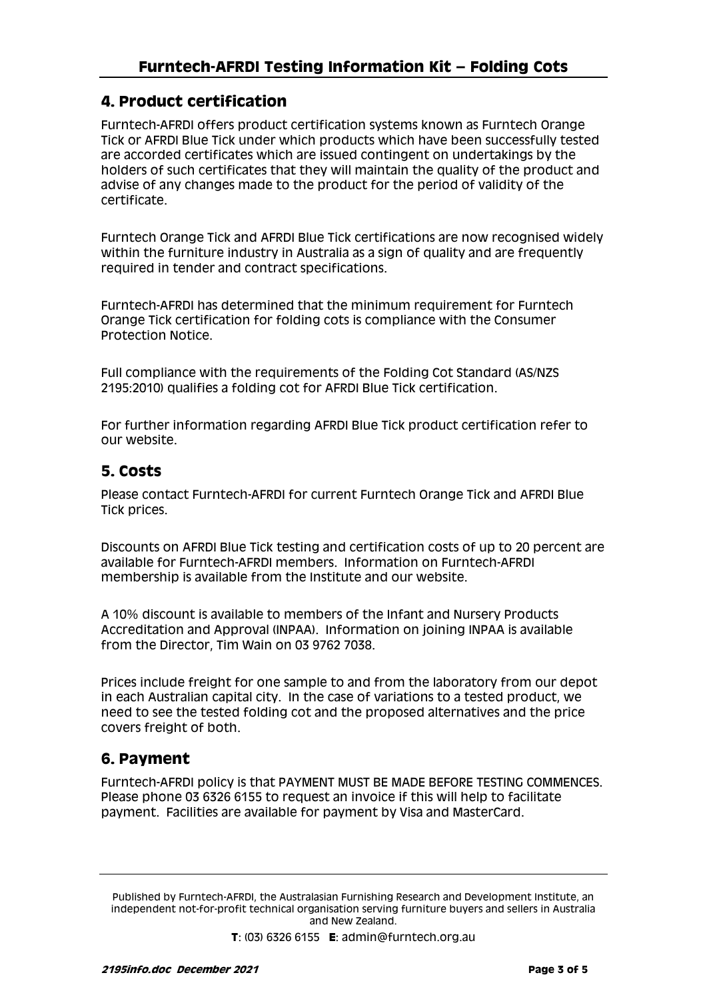#### **4. Product certification**

Furntech-AFRDI offers product certification systems known as Furntech Orange Tick or AFRDI Blue Tick under which products which have been successfully tested are accorded certificates which are issued contingent on undertakings by the holders of such certificates that they will maintain the quality of the product and advise of any changes made to the product for the period of validity of the certificate.

Furntech Orange Tick and AFRDI Blue Tick certifications are now recognised widely within the furniture industry in Australia as a sign of quality and are frequently required in tender and contract specifications.

Furntech-AFRDI has determined that the minimum requirement for Furntech Orange Tick certification for folding cots is compliance with the Consumer Protection Notice.

Full compliance with the requirements of the Folding Cot Standard (AS/NZS 2195:2010) qualifies a folding cot for AFRDI Blue Tick certification.

For further information regarding AFRDI Blue Tick product certification refer to our website.

#### **5. Costs**

Please contact Furntech-AFRDI for current Furntech Orange Tick and AFRDI Blue Tick prices.

Discounts on AFRDI Blue Tick testing and certification costs of up to 20 percent are available for Furntech-AFRDI members. Information on Furntech-AFRDI membership is available from the Institute and our website.

A 10% discount is available to members of the Infant and Nursery Products Accreditation and Approval (INPAA). Information on joining INPAA is available from the Director, Tim Wain on 03 9762 7038.

Prices include freight for one sample to and from the laboratory from our depot in each Australian capital city. In the case of variations to a tested product, we need to see the tested folding cot and the proposed alternatives and the price covers freight of both.

#### **6. Payment**

Furntech-AFRDI policy is that PAYMENT MUST BE MADE BEFORE TESTING COMMENCES. Please phone 03 6326 6155 to request an invoice if this will help to facilitate payment. Facilities are available for payment by Visa and MasterCard.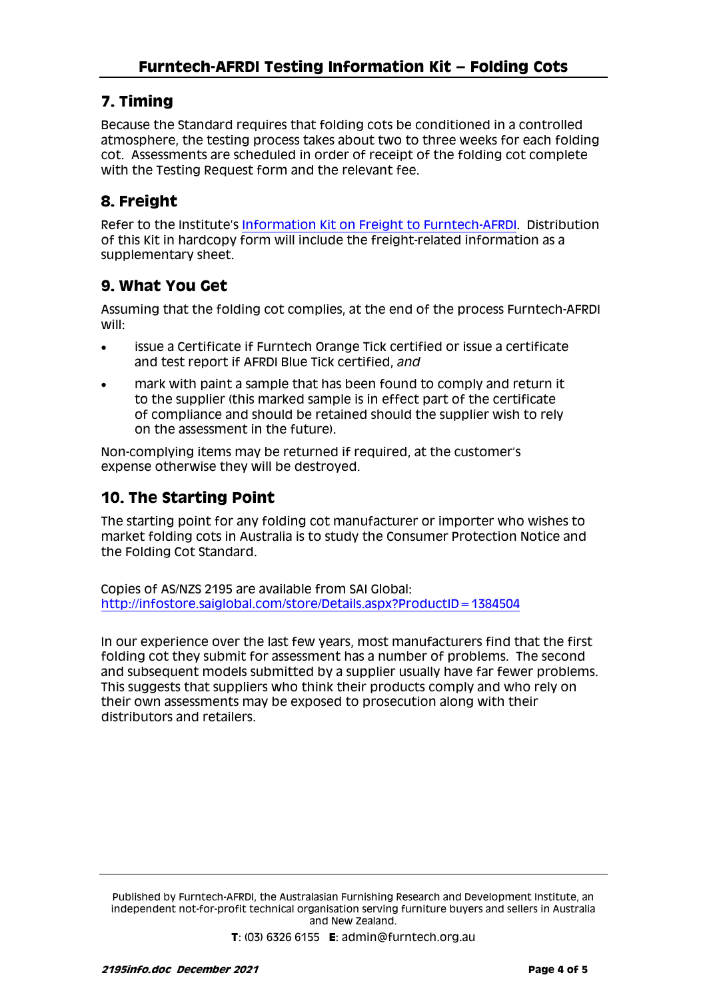### **7. Timing**

Because the Standard requires that folding cots be conditioned in a controlled atmosphere, the testing process takes about two to three weeks for each folding cot. Assessments are scheduled in order of receipt of the folding cot complete with the Testing Request form and the relevant fee.

# **8. Freight**

Refer to the Institute's [Information Kit on Freight to Furntech-AFRDI.](http://furntech.org.au/pdf/index.php?dir=Corporate/&file=FreightInfo.pdf) Distribution of this Kit in hardcopy form will include the freight-related information as a supplementary sheet.

## **9. What You Get**

Assuming that the folding cot complies, at the end of the process Furntech-AFRDI will:

- issue a Certificate if Furntech Orange Tick certified or issue a certificate and test report if AFRDI Blue Tick certified, *and*
- mark with paint a sample that has been found to comply and return it to the supplier (this marked sample is in effect part of the certificate of compliance and should be retained should the supplier wish to rely on the assessment in the future).

Non-complying items may be returned if required, at the customer's expense otherwise they will be destroyed.

#### **10. The Starting Point**

The starting point for any folding cot manufacturer or importer who wishes to market folding cots in Australia is to study the Consumer Protection Notice and the Folding Cot Standard.

Copies of AS/NZS 2195 are available from SAI Global: <http://infostore.saiglobal.com/store/Details.aspx?ProductID=1384504>

In our experience over the last few years, most manufacturers find that the first folding cot they submit for assessment has a number of problems. The second and subsequent models submitted by a supplier usually have far fewer problems. This suggests that suppliers who think their products comply and who rely on their own assessments may be exposed to prosecution along with their distributors and retailers.